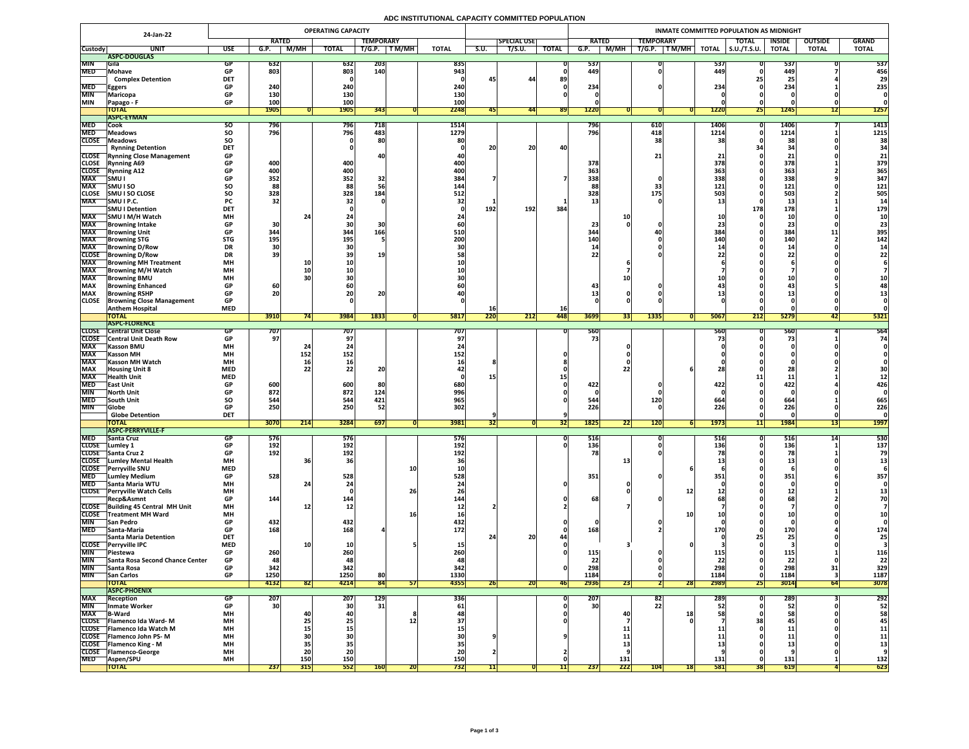## **ADC INSTITUTIONAL CAPACITY COMMITTED POPULATION**

| 24-Jan-22                  |                                                             | <b>OPERATING CAPACITY</b> |                   |                                |              |                          |              |                         |                  |                    |                  | INMATE COMMITTED POPULATION AS MIDNIGHT |                                     |              |                     |                 |                |              |  |  |  |  |
|----------------------------|-------------------------------------------------------------|---------------------------|-------------------|--------------------------------|--------------|--------------------------|--------------|-------------------------|------------------|--------------------|------------------|-----------------------------------------|-------------------------------------|--------------|---------------------|-----------------|----------------|--------------|--|--|--|--|
|                            |                                                             |                           | <b>RATED</b>      |                                |              | <b>TEMPORARY</b>         |              |                         |                  | <b>SPECIAL USE</b> |                  | <b>RATED</b>                            | <b>TEMPORARY</b>                    |              | <b>TOTAL</b>        | <b>INSIDE</b>   | <b>OUTSIDE</b> | <b>GRAND</b> |  |  |  |  |
| <b>Custody</b>             | <b>UNI</b>                                                  | <b>USE</b>                | G.P.              | M/MH                           | <b>TOTAL</b> | T/G.P.                   | <b>TM/MH</b> | <b>TOTAL</b>            | S.U.             | T/S.U.             | <b>TOTAL</b>     | M/MH<br>G.P.                            | T/G.P.<br>TM/MH                     | <b>TOTAL</b> | $\vert$ S.U./T.S.U. | <b>TOTAL</b>    | <b>TOTAL</b>   | <b>TOTAL</b> |  |  |  |  |
|                            | ASPC-DOUGLAS                                                |                           |                   |                                |              |                          |              |                         |                  |                    |                  |                                         |                                     |              |                     |                 |                |              |  |  |  |  |
| <b>MIN</b><br><b>MED</b>   | <b>IGila</b><br><b>Mohave</b>                               |                           | 632<br>803        |                                | 632<br>803   | <b>203</b><br><b>140</b> |              | 835<br>943              |                  |                    |                  | 537<br>449                              |                                     | 537<br>449   |                     | 537<br>449      |                | 537<br>456   |  |  |  |  |
|                            | <b>Complex Detention</b>                                    | <b>DET</b>                |                   |                                |              |                          |              |                         |                  | 44                 | 89               |                                         |                                     |              |                     | 65              |                | 29           |  |  |  |  |
| <b>MED</b>                 | <b>Eggers</b>                                               | <b>GP</b>                 | 240               |                                | 240          |                          |              | 240                     |                  |                    |                  | 234                                     |                                     | 234          |                     | 234             |                | 235          |  |  |  |  |
| <b>MIN</b>                 | Maricopa                                                    |                           | <b>130</b>        |                                | <b>130</b>   |                          |              | 130                     |                  |                    |                  |                                         |                                     |              |                     |                 |                |              |  |  |  |  |
| <b>MIN</b>                 | Papago - F                                                  | <b>GP</b>                 | 100               |                                | 100          |                          |              | 100                     |                  |                    |                  |                                         |                                     |              |                     |                 |                |              |  |  |  |  |
|                            | <b>TOTAL</b><br><b>ASPC-EYMAN</b>                           |                           | <b>1905</b>       |                                | <b>1905</b>  | 343                      |              | 2248                    | 45               | 44                 | <b>891</b>       | 1220                                    |                                     | <b>1220</b>  | <b>Z51</b>          | $\sqrt{1245}$   | $\perp$        | <b>1257</b>  |  |  |  |  |
| <b>MED</b>                 | <b>Cook</b>                                                 | <b>SO</b>                 | 796               |                                | 796          | 718                      |              | 1514                    |                  |                    |                  | 796                                     | 610                                 | <b>1406</b>  |                     | 1406            |                | 1413         |  |  |  |  |
| <b>MED</b>                 | <b>Meadows</b>                                              | <b>SO</b>                 | 796               |                                | 796          | 483                      |              | 1279                    |                  |                    |                  | 796                                     | 418                                 | 1214         |                     | 1214            |                | 1215         |  |  |  |  |
| <b>CLOSE</b>               | Meadows                                                     | SO                        |                   |                                |              | 80                       |              |                         |                  |                    |                  |                                         |                                     |              |                     | 3 <sub>i</sub>  |                | 38           |  |  |  |  |
|                            | <b>Rynning Detention</b>                                    | <b>DET</b>                |                   |                                |              |                          |              |                         | 20               | 20                 | 40               |                                         |                                     |              |                     | $\mathbf{R}$    |                |              |  |  |  |  |
| <b>CLOSE</b>               | <b>CLOSE</b> Rynning Close Management<br><b>Rynning A69</b> | <b>GP</b><br><b>GP</b>    | 400               |                                | 400          |                          |              | 400                     |                  |                    |                  | 378                                     |                                     | 378          |                     | 378             |                | 379          |  |  |  |  |
| <b>CLOSE</b>               | <b>Rynning A12</b>                                          | <b>GP</b>                 | 400               |                                | 400          |                          |              | <b>400</b>              |                  |                    |                  | 363                                     |                                     | 363          |                     | 363             |                | 365          |  |  |  |  |
| <b>MAX</b>                 | SMU I                                                       |                           | 352               |                                | 352          | 32                       |              | 384                     |                  |                    |                  | 338                                     |                                     | 338          |                     | 338             |                | 347          |  |  |  |  |
| <b>MAX</b>                 | <b>SMUISO</b>                                               | SO                        | 88                |                                | 88           |                          |              | 144                     |                  |                    |                  |                                         |                                     | 121          |                     | 121             |                | 121          |  |  |  |  |
| <b>CLOSE</b>               | <b>SMU I SO CLOSE</b>                                       | <b>SO</b>                 | 328               |                                | 328          | 184                      |              | 512                     |                  |                    |                  | 328                                     | 175                                 | <b>503</b>   |                     | 503             |                | 505          |  |  |  |  |
| <b>MAX</b>                 | SMU I P.C.                                                  | <b>PC</b>                 | 32                |                                |              |                          |              |                         |                  |                    |                  |                                         |                                     |              |                     | ᅩJ              |                |              |  |  |  |  |
| <b>MAX</b>                 | <b>SMU I Detention</b><br> SMU I M/H Watch                  | <b>DET</b><br><b>MH</b>   |                   |                                |              |                          |              |                         | 192              | 192                | 384              |                                         |                                     |              | 178                 | 178             |                | 179          |  |  |  |  |
| <b>MAX</b>                 | <b>Browning Intake</b>                                      | <b>GP</b>                 | 30                |                                |              |                          |              |                         |                  |                    |                  | 23                                      |                                     |              |                     | 23              |                |              |  |  |  |  |
| <b>MAX</b>                 | <b>Browning Unit</b>                                        | <b>GP</b>                 | 344               |                                | 344          | 166'                     |              | 510                     |                  |                    |                  | 344                                     |                                     | 384          |                     | 384             |                | 395          |  |  |  |  |
| <b>MAX</b>                 | <b>Browning STG</b>                                         | <b>STG</b>                | 195               |                                | 195          |                          |              | <b>200</b>              |                  |                    |                  | <b>140</b>                              |                                     |              |                     | 140             |                | 142          |  |  |  |  |
| <b>MAX</b>                 | <b>Browning D/Row</b>                                       | <b>DR</b>                 | 30                |                                |              |                          |              |                         |                  |                    |                  |                                         |                                     |              |                     | -45             |                |              |  |  |  |  |
| <b>CLOSE</b><br><b>MAX</b> | <b>Browning D/Row</b><br><b>Browning MH Treatment</b>       | <b>DR</b><br><b>MH</b>    | 39                |                                |              |                          |              |                         |                  |                    |                  |                                         |                                     |              |                     |                 |                |              |  |  |  |  |
| <b>MAX</b>                 | <b>TBrowning M/H Watch</b>                                  | <b>MH</b>                 |                   |                                |              |                          |              |                         |                  |                    |                  |                                         |                                     |              |                     |                 |                |              |  |  |  |  |
| <b>MAX</b>                 | <b>IBrowning BMU</b>                                        | <b>MH</b>                 |                   |                                |              |                          |              |                         |                  |                    |                  |                                         |                                     |              |                     |                 |                |              |  |  |  |  |
| <b>MAX</b>                 | <b>Browning Enhanced</b>                                    | <b>GP</b>                 | 60                |                                |              |                          |              |                         |                  |                    |                  |                                         |                                     |              |                     |                 |                |              |  |  |  |  |
| <b>MAX</b>                 | <b>Browning RSHP</b>                                        | <b>GP</b>                 | 20                |                                | ZUI          | ZU                       |              |                         |                  |                    |                  |                                         |                                     |              |                     | --              |                |              |  |  |  |  |
| <b>CLOSE</b>               | <b>Browning Close Management</b><br><b>Anthem Hospital</b>  | <b>GP</b><br><b>MED</b>   |                   |                                |              |                          |              |                         |                  |                    |                  |                                         |                                     |              |                     |                 |                |              |  |  |  |  |
|                            | <b>TOTAL</b>                                                |                           | 3910              |                                | 3984         | 1833                     |              | 5817                    | <b>16</b><br>220 | 212                | <b>16</b><br>448 | 3699<br>331                             | 1335                                | 5067         | 212                 | 5279            | 421            | 5321         |  |  |  |  |
|                            | <b>ASPC-FLORENCE</b>                                        |                           |                   |                                |              |                          |              |                         |                  |                    |                  |                                         |                                     |              |                     |                 |                |              |  |  |  |  |
| <b>CLOSE</b>               | <b>Central Unit Close</b>                                   |                           | 707               |                                | 707          |                          |              | $\bar{7}07'$            |                  |                    |                  | $560^\circ$                             |                                     | 560          |                     | 560             |                | 564          |  |  |  |  |
| <b>CLOSE</b>               | <b>Central Unit Death Row</b>                               |                           | 97                |                                |              |                          |              |                         |                  |                    |                  | 75                                      |                                     |              |                     |                 |                | 74           |  |  |  |  |
| <b>MAX</b><br><b>MAX</b>   | Kasson BMU                                                  | <b>MH</b><br><b>MH</b>    |                   |                                | 152          |                          |              |                         |                  |                    |                  |                                         |                                     |              |                     |                 |                |              |  |  |  |  |
| <b>MAX</b>                 | <b> Kasson MH</b><br><b>Kasson MH Watch</b>                 | <b>MH</b>                 |                   | 152<br><b>16</b>               |              |                          |              | 152                     |                  |                    |                  |                                         |                                     |              |                     |                 |                |              |  |  |  |  |
| <b>MAX</b>                 | <b>Housing Unit 8</b>                                       | <b>MED</b>                |                   | ZZ                             |              | $\bigcap$<br>ZU          |              |                         |                  |                    |                  |                                         |                                     |              |                     |                 |                |              |  |  |  |  |
| <b>MAX</b>                 | <b>Health Unit</b>                                          | <b>MED</b>                |                   |                                |              |                          |              |                         |                  |                    |                  |                                         |                                     |              |                     |                 |                |              |  |  |  |  |
| <b>MED</b>                 | <b>TEast Unit</b>                                           |                           | 600               |                                | 600          | 80 <sub>1</sub>          |              | 680                     |                  |                    |                  | 422                                     |                                     | 422          |                     | 422             |                | 426          |  |  |  |  |
| <b>MIN</b>                 | <b>North Unit</b>                                           |                           | 872               |                                | 872          | 124                      |              | 996                     |                  |                    |                  |                                         |                                     |              |                     |                 |                |              |  |  |  |  |
| <b>MED</b><br><b>MIN</b>   | <b>South Unit</b><br> Globe                                 | <b>SO</b>                 | 544<br>250        |                                | 544<br>250   | 421<br>52                |              | 965<br>302              |                  |                    |                  | 544<br>226                              | <b>120</b>                          | 664<br>226   |                     | 664<br>226      |                | 665<br>226   |  |  |  |  |
|                            | <b>Globe Detention</b>                                      | <b>DET</b>                |                   |                                |              |                          |              |                         |                  |                    |                  |                                         |                                     |              |                     |                 |                |              |  |  |  |  |
|                            | <b>TOTAL</b>                                                |                           | 3070              | $\overline{211}$<br><b>Z14</b> | 3284         | 697                      |              | 3981                    | 32               |                    |                  | 1825<br>$\overline{2}$<br> 22           | $\overline{120}$<br>$\mathbf{L}$ zu | 1973         | TT                  | 1984            | <b>137</b>     | <b>1997</b>  |  |  |  |  |
|                            | <b>ASPC-PERRYVILLE-F</b>                                    |                           |                   |                                |              |                          |              |                         |                  |                    |                  |                                         |                                     |              |                     |                 |                |              |  |  |  |  |
| <b>MED</b>                 | <b>Santa Cruz</b>                                           |                           | 5/6               |                                | 576          |                          |              | <b>576</b>              |                  |                    |                  | 516                                     |                                     | <b>516 </b>  |                     | <b>OTC</b>      |                | 530          |  |  |  |  |
| <b>CLOSE</b>               | Lumley 1<br>CLOSE Santa Cruz 2                              | <b>GP</b>                 | 192<br><b>192</b> |                                | 192<br>192   |                          |              | 192 <sub>1</sub><br>192 |                  |                    |                  | 136 <sub>1</sub><br>$I$ O               |                                     | 136          |                     | 136             |                | 137          |  |  |  |  |
| <b>CLOSE</b>               | <b>Lumley Mental Health</b>                                 | <b>MH</b>                 |                   |                                | <b>36</b>    |                          |              |                         |                  |                    |                  |                                         |                                     |              |                     |                 |                |              |  |  |  |  |
| <b>CLOSE</b>               | <b>Perryville SNU</b>                                       | <b>MED</b>                |                   |                                |              |                          | <b>10</b>    |                         |                  |                    |                  |                                         |                                     |              |                     |                 |                |              |  |  |  |  |
| <b>MED</b>                 | <b>Lumley Medium</b>                                        | <b>GP</b>                 | 528               |                                | 528          |                          |              | 528                     |                  |                    |                  | 351                                     |                                     | 351          |                     | 351             |                | 357          |  |  |  |  |
| <b>MED</b>                 | <b>Santa Maria WTU</b><br>CLOSE Perryville Watch Cells      | <b>MH</b><br><b>MH</b>    |                   |                                |              |                          |              |                         |                  |                    |                  |                                         |                                     |              |                     |                 |                |              |  |  |  |  |
|                            | Recp&Asmnt                                                  | <b>GP</b>                 | 144               |                                | 144          |                          | 26           | 144                     |                  |                    |                  | 68                                      |                                     |              |                     | ∸∸              |                | 70           |  |  |  |  |
|                            | CLOSE Building 45 Central MH Unit                           | <b>MH</b>                 |                   | <b>12</b>                      |              |                          |              |                         |                  |                    |                  |                                         |                                     |              |                     |                 |                |              |  |  |  |  |
| <b>CLOSE</b>               | Treatment MH Ward                                           | <b>MH</b>                 |                   |                                |              |                          |              |                         |                  |                    |                  |                                         | <b>10</b>                           |              |                     |                 |                |              |  |  |  |  |
| <b>MIN</b>                 | <b>San Pedro</b>                                            | <b>GP</b>                 | 432               |                                | 432          |                          |              | 432                     |                  |                    |                  |                                         |                                     |              |                     |                 |                |              |  |  |  |  |
| <b>MED</b>                 | <b>Santa-Maria</b><br><b>Santa Maria Detention</b>          | <b>GP</b><br><b>DET</b>   | 168               |                                | 168          |                          |              | 172                     |                  | 20 <sub>1</sub>    |                  | 168                                     |                                     |              |                     | 170             |                | 174          |  |  |  |  |
| <b>CLOSE</b>               | <b>Perryville IPC</b>                                       | <b>MED</b>                |                   |                                |              |                          |              |                         |                  |                    |                  |                                         |                                     |              |                     |                 |                |              |  |  |  |  |
| <b>MIN</b>                 | <b>TPiestewa</b>                                            |                           | 260               |                                | 260          |                          |              |                         |                  |                    |                  | 115                                     |                                     |              |                     |                 |                | 116          |  |  |  |  |
| <b>MIN</b>                 | Santa Rosa Second Chance Center                             | <b>GP</b>                 |                   |                                | 48           |                          |              |                         |                  |                    |                  | 22                                      |                                     | 22           |                     | 22              |                | 22           |  |  |  |  |
| <b>MIN</b>                 | Santa Rosa                                                  |                           | 342               |                                | 342          |                          |              | 342                     |                  |                    |                  | 298                                     |                                     | 298          |                     | 298             | 31             | 329          |  |  |  |  |
| <b>MIN</b>                 | <b>San Carlos</b>                                           | <b>GP</b>                 | 1250              |                                | 1250         | 80                       |              | 1330                    |                  |                    |                  | 1184                                    |                                     | 1184         |                     | 1184            |                | 1187         |  |  |  |  |
|                            | <b>TOTAL</b><br><b>ASPC-PHOENIX</b>                         |                           | 4132              | <b>821</b>                     | 4214         | 84                       | 51           | 4355                    | <b>ZD</b>        | ZUI                | <b>461</b>       | 2936<br><b>ZJ</b>                       | 28                                  | 2989         | <b>Z51</b>          | 3014            | <b>64</b>      | 3078         |  |  |  |  |
| <b>MAX</b>                 | <b>Reception</b>                                            |                           | 207               |                                | 207          | 129                      |              | 336                     |                  |                    |                  | 207                                     | 82                                  | 289          |                     | 289             |                | 292          |  |  |  |  |
| <b>MIN</b>                 | Inmate Worker                                               |                           | 30                |                                | <b>30</b>    | 31 <sub>1</sub>          |              | 61                      |                  |                    |                  | 30 <sup>1</sup>                         |                                     |              |                     | 52 <sub>1</sub> |                | 52           |  |  |  |  |
| <b>MAX</b>                 | <b>B-Ward</b>                                               | <b>MH</b>                 |                   |                                |              |                          |              |                         |                  |                    |                  |                                         | 18                                  |              |                     |                 |                | 58           |  |  |  |  |
| <b>CLOSE</b>               | <b>TFlamenco Ida Ward-M</b><br>CLOSE   Flamenco Ida Watch M | <b>MH</b><br><b>MH</b>    |                   | LJ                             | <b>Z51</b>   |                          |              |                         |                  |                    |                  |                                         |                                     |              |                     | 45              |                | 45           |  |  |  |  |
|                            | <b>CLOSE</b> Flamenco John PS-M                             | <b>MH</b>                 |                   | <b>15</b>                      |              |                          |              |                         |                  |                    |                  |                                         |                                     |              |                     |                 |                | 11<br>11     |  |  |  |  |
|                            | <b>CLOSE</b> Flamenco King - M                              | <b>MH</b>                 |                   | 35'                            |              |                          |              |                         |                  |                    |                  |                                         |                                     |              |                     | ᆂᆇ              |                |              |  |  |  |  |
| <b>CLOSE</b>               | <b>TFlamenco-George</b>                                     | <b>MH</b>                 |                   |                                | 20           |                          |              |                         |                  |                    |                  |                                         |                                     |              |                     |                 |                |              |  |  |  |  |
| <b>MED</b>                 | <b>Aspen/SPU</b>                                            | <b>MH</b>                 |                   | <b>150</b>                     | <b>150</b>   |                          |              | 150                     |                  |                    |                  | 131                                     |                                     | 131          |                     | 131             |                | 132          |  |  |  |  |
|                            | <b>TOTAL</b>                                                |                           | 237               | 315                            | 552          | <b>160</b>               | ZU           | <b>732</b>              |                  |                    |                  | 222<br>237                              | <b>104</b><br><b>18</b>             | <b>581</b>   | <b>381</b>          | 619             |                | 623          |  |  |  |  |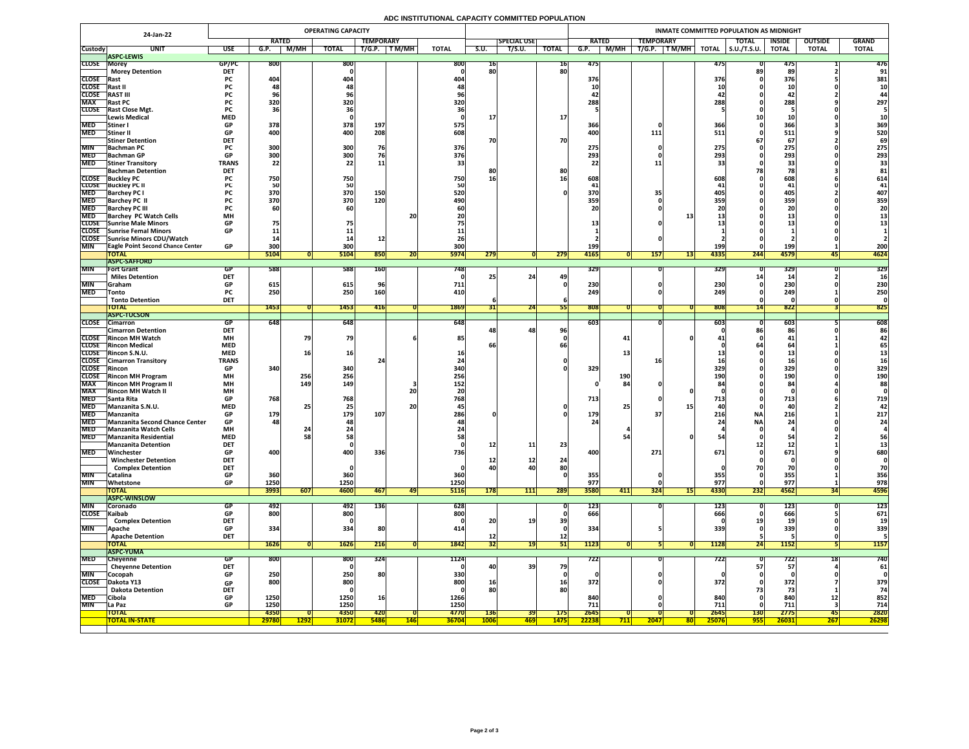## **ADC INSTITUTIONAL CAPACITY COMMITTED POPULATION**

|                            | 24-Jan-22                                                      |                            |                                 |             | <b>OPERATING CAPACITY</b>      |                  |             |              |                 |                    |                 |                   |            |                                                                 |                   | INMATE COMMITTED POPULATION AS MIDNIGHT |                               |                |              |
|----------------------------|----------------------------------------------------------------|----------------------------|---------------------------------|-------------|--------------------------------|------------------|-------------|--------------|-----------------|--------------------|-----------------|-------------------|------------|-----------------------------------------------------------------|-------------------|-----------------------------------------|-------------------------------|----------------|--------------|
|                            |                                                                |                            | <b>RATED</b>                    |             |                                | <b>TEMPORARY</b> |             |              |                 | <b>SPECIAL USE</b> |                 | <b>RATED</b>      |            | <b>TEMPORARY</b>                                                |                   | <b>TOTAL</b>                            | <b>INSIDE</b>                 | <b>OUTSIDE</b> | <b>GRAND</b> |
| <b>Custody</b>             | <b>UNIT</b>                                                    | <b>USE</b>                 | G.P.                            | M/MH        | <b>TOTAL</b>                   | T/G.P.           | T M/MH      | <b>TOTAL</b> | S.U.            | T/S.U.             | <b>TOTAL</b>    | G.P.              | M/MH       | T/G.P.<br>$\boxed{\mathsf{T}\,\mathsf{M}/\mathsf{M}\mathsf{H}}$ | <b>TOTAL</b>      | $\vert$ S.U./T.S.U.                     | <b>TOTAL</b>                  | <b>TOTAL</b>   | <b>TOTAL</b> |
| CLOSE Morey                | <b>ASPC-LEWIS</b>                                              | GP/PC                      | <b>800</b>                      |             | 800                            |                  |             | 800          | 16              |                    | <b>16</b>       | 475               |            |                                                                 | 475               |                                         | 4/t                           |                | 476          |
|                            | <b>Morey Detention</b>                                         | <b>DET</b>                 |                                 |             |                                |                  |             |              | 80              |                    | 80              |                   |            |                                                                 |                   |                                         | 89                            |                | 91           |
| <b>CLOSE</b> Rast          |                                                                | <b>PC</b>                  | 404                             |             | 404                            |                  |             | 404          |                 |                    |                 | 376               |            |                                                                 | <b>376</b>        |                                         | 376                           |                | 381          |
| CLOSE Rast II              |                                                                | PL.                        |                                 |             |                                |                  |             |              |                 |                    |                 | 10                |            |                                                                 |                   |                                         |                               |                | 10           |
| <b>CLOSE</b>               | <b>RAST III</b>                                                | <b>PC</b>                  |                                 |             |                                |                  |             |              |                 |                    |                 |                   |            |                                                                 |                   |                                         | 42                            |                |              |
| <b>MAX</b>                 | <b>Rast PC</b>                                                 |                            | 320                             |             | 320                            |                  |             | 320          |                 |                    |                 | 288               |            |                                                                 | 288               |                                         | 288                           |                | 297          |
|                            | CLOSE Rast Close Mgt.<br><b>Lewis Medical</b>                  | <b>PC</b><br><b>MED</b>    |                                 |             |                                |                  |             |              |                 |                    | <b>17</b>       |                   |            |                                                                 |                   |                                         |                               |                |              |
| <b>MED</b>                 | Stiner I                                                       | <b>GP</b>                  | 378                             |             | 378                            | 197              |             | 575          |                 |                    |                 | 366               |            |                                                                 | 366               |                                         | 366                           |                | 369          |
| <b>MED</b>                 | Stiner II                                                      | <b>GP</b>                  | 400                             |             | 400                            | 208              |             | 608          |                 |                    |                 | 400               |            | 111                                                             | 511               |                                         | 511                           |                | 520          |
|                            | <b>Stiner Detention</b>                                        | <b>DET</b>                 |                                 |             |                                |                  |             |              | 70              |                    | 70              |                   |            |                                                                 |                   | D /                                     | 67                            |                | 69           |
| <b>MIN</b>                 | <b>Bachman PC</b>                                              |                            | 300                             |             | 300                            | 76               |             | 376          |                 |                    |                 | 275               |            |                                                                 | 275               |                                         | 275                           |                | 275          |
|                            | MED Bachman GP                                                 | GD.<br>UГ                  | 300 <sub>l</sub><br><b>PODE</b> |             | 300 <sub>l</sub><br><b>POC</b> |                  |             | 376          |                 |                    |                 | 202<br><b>273</b> |            |                                                                 | 702<br>29J        |                                         | 203<br>LJJ<br>$\mathbf{\sim}$ |                | 293          |
| <b>MED</b>                 | <b>Stiner Transitory</b>                                       | <b>TRANS</b><br><b>DET</b> | 22                              |             |                                | <b>11</b>        |             |              |                 |                    |                 |                   |            |                                                                 |                   |                                         | 55                            |                |              |
|                            | <b>Bachman Detention</b><br><b>CLOSE</b> Buckley PC            |                            | 750                             |             | 750                            |                  |             | 750          | 16              |                    | 80              | 608               |            |                                                                 | 608               |                                         | 608                           |                | 614          |
|                            | <b>CLOSE</b> Buckley PC II                                     |                            |                                 |             | 50                             |                  |             |              |                 |                    |                 |                   |            |                                                                 |                   |                                         |                               |                |              |
| <b>MED</b>                 | <b>Barchey PC I</b>                                            |                            | 370                             |             | 370                            | 150              |             | 520          |                 |                    |                 | 370               |            |                                                                 |                   |                                         | 405                           |                | 407          |
| <b>MED</b>                 | <b>Barchey PC II</b>                                           |                            | 370                             |             | 370                            | 120              |             | 490          |                 |                    |                 | 359               |            |                                                                 | 359               |                                         | 359                           |                | 359          |
| <b>MED</b>                 | <b>Barchey PC III</b>                                          |                            |                                 |             |                                |                  |             |              |                 |                    |                 |                   |            |                                                                 |                   |                                         |                               |                |              |
| <b>MED</b>                 | <b>Barchey PC Watch Cells</b>                                  | <b>MH</b>                  |                                 |             |                                |                  | 20          |              |                 |                    |                 |                   |            |                                                                 |                   |                                         | als w                         |                |              |
|                            | <b>CLOSE</b> Sunrise Male Minors<br>CLOSE Sunrise Femal Minors | <b>GP</b><br><b>GP</b>     |                                 |             |                                |                  |             |              |                 |                    |                 |                   |            |                                                                 |                   |                                         |                               |                |              |
|                            | CLOSE Sunrise Minors CDU/Watch                                 |                            |                                 |             |                                |                  |             |              |                 |                    |                 |                   |            |                                                                 |                   |                                         |                               |                |              |
| <b>MIN</b>                 | <b>TEagle Point Second Chance Center</b>                       | <b>GP</b>                  | 300                             |             | 300                            |                  |             | 300          |                 |                    |                 | <b>199</b>        |            |                                                                 | 199               |                                         | 199                           |                | 200          |
|                            | <b>TOTAL</b>                                                   |                            | 5104                            |             | 5104                           | 850              | ZU.         | <b>5974</b>  | 279             |                    | 279             | 4165              |            | 157                                                             | 4335<br>L31       | 244                                     | 4579                          | 451            | 4624         |
|                            | <b>ASPC-SAFFORD</b>                                            |                            |                                 |             |                                |                  |             |              |                 |                    |                 |                   |            |                                                                 |                   |                                         |                               |                |              |
| <b>MIN</b>                 | <b>Fort Grant</b>                                              | GP                         | 588                             |             | 588                            | <b>160</b>       |             | 7481         |                 |                    |                 | 329               |            |                                                                 | <b>329</b>        |                                         | 329                           |                | 329          |
|                            | <b>Miles Detention</b>                                         | <b>DET</b>                 |                                 |             |                                |                  |             |              |                 | 24                 | 49              |                   |            |                                                                 |                   |                                         |                               |                |              |
| MIN<br><b>MED</b>          | <b>Sraham</b><br><b>Tonto</b>                                  | <b>GP</b><br><b>PC</b>     | 615<br>250                      |             | 615<br>250                     | 160              |             | 711<br>410   |                 |                    |                 | 230<br>249        |            |                                                                 | <b>230</b><br>249 |                                         | 230<br>249                    |                | 230<br>250   |
|                            | <b>Tonto Detention</b>                                         | <b>DET</b>                 |                                 |             |                                |                  |             |              |                 |                    |                 |                   |            |                                                                 |                   |                                         |                               |                |              |
|                            | <b>TOTAL</b>                                                   |                            | <b>1453</b>                     |             | 1453                           | 416              |             | 1869         |                 | $\overline{24}$    |                 | 808               |            |                                                                 | 808               |                                         | 822                           |                | 825          |
|                            | <b>ASPC-TUCSON</b>                                             |                            |                                 |             |                                |                  |             |              |                 |                    |                 |                   |            |                                                                 |                   |                                         |                               |                |              |
|                            | CLOSE Cimarron                                                 | GP                         | 648                             |             | 648                            |                  |             | 648          |                 |                    |                 | 603               |            |                                                                 | 603               |                                         | 603                           |                | 608          |
|                            | <b>Cimarron Detention</b>                                      | <b>DET</b>                 |                                 |             |                                |                  |             |              |                 | 48                 | 96 <sub>l</sub> |                   |            |                                                                 |                   |                                         | 86                            |                | 86           |
|                            | <b>CLOSE</b> Rincon MH Watch<br><b>CLOSE</b> Rincon Medical    | <b>MH</b><br><b>MED</b>    |                                 |             | 79                             |                  |             | 85           |                 |                    |                 |                   | 41         |                                                                 |                   |                                         | 41                            |                |              |
|                            | CLOSE Rincon S.N.U.                                            | <b>MED</b>                 |                                 |             | 16                             |                  |             |              |                 |                    |                 |                   |            |                                                                 |                   |                                         |                               |                |              |
|                            | <b>CLOSE</b> Cimarron Transitory                               | <b>TRANS</b>               |                                 |             |                                |                  |             |              |                 |                    |                 |                   |            |                                                                 |                   |                                         |                               |                |              |
| <b>CLOSE</b> Rincon        |                                                                | <b>GP</b>                  | 340                             |             | 340                            |                  |             | 340          |                 |                    |                 | 329               |            |                                                                 | 329               |                                         | 329                           |                | 329          |
|                            | <b>CLOSE</b> Rincon MH Program                                 | <b>MH</b>                  |                                 | 256         | 256                            |                  |             | 256          |                 |                    |                 |                   | <b>190</b> |                                                                 | 190               |                                         | <b>190</b>                    |                | <b>190</b>   |
| <b>MAX</b>                 | <b>Rincon MH Program II</b>                                    | <b>MH</b>                  |                                 | <b>149</b>  | 149                            |                  |             | 152          |                 |                    |                 |                   | 84         |                                                                 |                   |                                         | 84                            |                | 88           |
| <b>MAX</b><br><b>MED</b>   | <b>Rincon MH Watch II</b>                                      | <b>MH</b><br><b>GP</b>     | 768                             |             | 768                            |                  | 20          | 768          |                 |                    |                 | 713               |            |                                                                 | 713               |                                         |                               |                | 719          |
| <b>MED</b>                 | <b>Santa Rita</b><br>Manzanita S.N.U.                          | <b>MED</b>                 |                                 |             | 25 <sub>1</sub>                |                  | <b>20</b>   |              |                 |                    |                 |                   | 25         |                                                                 |                   |                                         | 713<br><b>44</b>              |                |              |
| <b>MED</b>                 | Manzanita                                                      | <b>GP</b>                  | 179                             |             | 179                            | 107              |             | 286          |                 |                    |                 | 179               |            |                                                                 | 216               | <b>NA</b>                               | 216                           |                | 217          |
|                            | MED Manzanita Second Chance Center                             | <b>GP</b>                  | 48                              |             | 481                            |                  |             |              |                 |                    |                 |                   |            |                                                                 |                   | <b>NA</b>                               | 24                            |                | 24           |
| <b>MED</b>                 | <b>Manzanita Watch Cells</b>                                   | <b>MH</b>                  |                                 |             |                                |                  |             |              |                 |                    |                 |                   |            |                                                                 |                   |                                         |                               |                |              |
| <b>MED</b>                 | Manzanita Residential                                          | <b>MED</b>                 |                                 |             | 58                             |                  |             |              |                 |                    |                 |                   |            |                                                                 |                   |                                         |                               |                |              |
|                            | <b>Manzanita Detention</b>                                     | <b>DET</b>                 |                                 |             |                                |                  |             |              | <b>12</b>       | 11                 | 23              |                   |            |                                                                 |                   |                                         |                               |                |              |
| <b>MED</b>                 | Winchester<br><b>Winchester Detention</b>                      | <b>GP</b><br><b>DET</b>    | 400                             |             | 400                            | 336              |             | 736          |                 |                    |                 | 400               |            | 271                                                             | 671               |                                         | 671                           |                | 680          |
|                            | <b>Complex Detention</b>                                       | <b>DET</b>                 |                                 |             |                                |                  |             |              | TC<br>40        | ┹┻                 | 24<br>80        |                   |            |                                                                 |                   |                                         |                               |                |              |
| <b>MIN</b>                 | Catalina                                                       | <b>GP</b>                  | 360                             |             | 360                            |                  |             | 360          |                 |                    |                 | 355               |            |                                                                 | 355               |                                         | 355                           |                | 356          |
| <b>MIN</b>                 | Whetstone                                                      | <b>GP</b>                  | 1250                            |             | 1250                           |                  |             | 1250         |                 |                    |                 | 977               |            |                                                                 | 977               |                                         | 977                           |                | 978          |
|                            | <b>TOTAL</b>                                                   |                            | 3993                            | 607         | 4600                           | 467              | 47          | <b>5116</b>  | <b>178</b>      | 111                | 289             | 3580              | 411        | <b>324</b>                                                      | 4330<br> 15       | 232                                     | 4562                          |                | 4596         |
|                            | <b>ASPC-WINSLOW</b>                                            |                            |                                 |             |                                |                  |             |              |                 |                    |                 |                   |            |                                                                 |                   |                                         |                               |                |              |
| <b>MIN</b><br>CLOSE Kaibab | <b>Coronado</b>                                                | GP<br>GP                   | 492<br>800                      |             | 492<br>800                     | <b>136</b>       |             | 628<br>800   |                 |                    |                 | <b>123</b><br>666 |            |                                                                 | 123<br>666        |                                         | <b>123</b><br>666             |                | 123<br>671   |
|                            | <b>Complex Detention</b>                                       | <b>DET</b>                 |                                 |             |                                |                  |             |              | 20              | 19                 | 39              |                   |            |                                                                 |                   |                                         |                               |                |              |
| <b>MIN</b>                 | <b>Apache</b>                                                  | <b>GP</b>                  | 334                             |             | 334                            | 80               |             |              |                 |                    |                 | 334               |            |                                                                 | 339               |                                         | 339                           |                | 339          |
|                            | <b>Apache Detention</b>                                        | <b>DET</b>                 |                                 |             |                                |                  |             |              | TC              |                    | $12$            |                   |            |                                                                 |                   |                                         |                               |                |              |
|                            | <b>TOTAL</b>                                                   |                            | 1626                            |             | <b>1626</b>                    | 216              |             | 1842         | 32              | <b>19</b>          | 51              | 1123              |            |                                                                 | <b>1128</b>       | Z41                                     | 1152                          |                | <b>1157</b>  |
|                            | <b>ASPC-YUMA</b>                                               |                            |                                 |             |                                |                  |             |              |                 |                    |                 |                   |            |                                                                 |                   |                                         |                               |                |              |
| <b>MED</b>                 | Cheyenne                                                       | <b>GP</b>                  | 800                             |             | 800                            | 324              |             | 1124         |                 |                    |                 | 722               |            |                                                                 | 722               |                                         | 722                           |                | 740          |
| <b>MIN</b>                 | <b>Cheyenne Detention</b>                                      | <b>DET</b><br><b>GP</b>    |                                 |             |                                | <b>80</b>        |             |              | <b>40</b>       | <b>39</b>          | 79              |                   |            |                                                                 |                   | 57                                      | 57                            |                | 61           |
| <b>CLOSE</b>               | Cocopah<br>Dakota Y13                                          |                            | 250<br>800                      |             | 250<br>800                     |                  |             | 330<br>800   | 16 <sub>1</sub> |                    | <b>16</b>       | 372               |            |                                                                 | 372               |                                         | 372                           |                | 379          |
|                            | <b>Dakota Detention</b>                                        | <b>GP</b><br><b>DET</b>    |                                 |             |                                |                  |             |              | 80              |                    | 80              |                   |            |                                                                 |                   |                                         |                               |                | 74           |
| <b>MED</b>                 | Cibola                                                         | <b>GP</b>                  | 1250                            |             | 1250                           | <b>16</b>        |             | 1266         |                 |                    |                 | 840               |            |                                                                 | 840               |                                         | 840                           | TV.            | 852          |
| <b>MIN</b>                 | La Paz                                                         | <b>GP</b>                  | 1250                            |             | 1250                           |                  |             | 1250         |                 |                    |                 | $711_1$           |            |                                                                 | 711               |                                         | 711                           |                | 714          |
|                            | <b>TOTAL</b>                                                   |                            | 4350                            |             | 4350                           | <b>420</b>       |             | 4770         | <b>136</b>      | 39                 | <b>175</b>      | 2645              |            |                                                                 | 2645              | <b>130</b>                              | 2775                          | 45             | 2820         |
|                            | <b>TOTAL IN-STATE</b>                                          |                            | 29780                           | <b>1292</b> | <b>31072</b>                   | <b>5486</b>      | <u> 146</u> | <b>36704</b> | <b>1006</b>     | <b>469 </b>        | <b>1475</b>     | 22238             | 711        | 2047                                                            | 25076             | <b>955</b>                              | 26031                         | <b>267</b>     | <b>26298</b> |